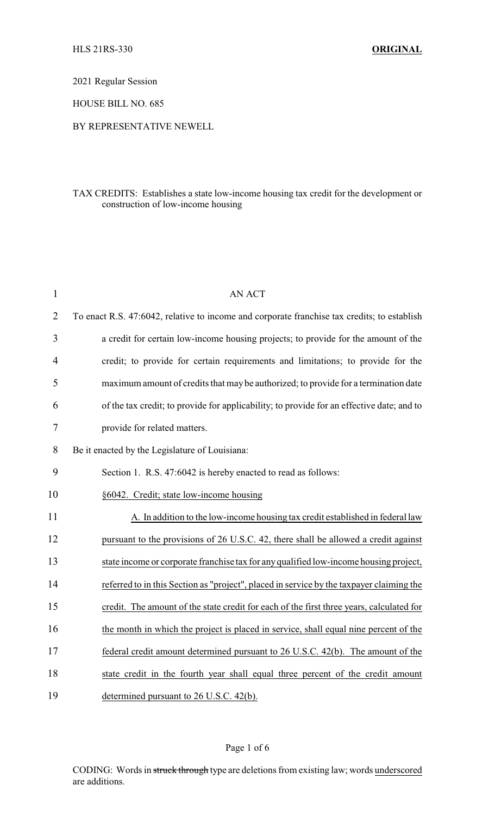2021 Regular Session

HOUSE BILL NO. 685

### BY REPRESENTATIVE NEWELL

## TAX CREDITS: Establishes a state low-income housing tax credit for the development or construction of low-income housing

| $\mathbf{1}$   | <b>AN ACT</b>                                                                               |
|----------------|---------------------------------------------------------------------------------------------|
| $\overline{2}$ | To enact R.S. 47:6042, relative to income and corporate franchise tax credits; to establish |
| 3              | a credit for certain low-income housing projects; to provide for the amount of the          |
| 4              | credit; to provide for certain requirements and limitations; to provide for the             |
| 5              | maximum amount of credits that may be authorized; to provide for a termination date         |
| 6              | of the tax credit; to provide for applicability; to provide for an effective date; and to   |
| 7              | provide for related matters.                                                                |
| 8              | Be it enacted by the Legislature of Louisiana:                                              |
| 9              | Section 1. R.S. 47:6042 is hereby enacted to read as follows:                               |
| 10             | §6042. Credit; state low-income housing                                                     |
| 11             | A. In addition to the low-income housing tax credit established in federal law              |
| 12             | pursuant to the provisions of 26 U.S.C. 42, there shall be allowed a credit against         |
| 13             | state income or corporate franchise tax for any qualified low-income housing project,       |
| 14             | referred to in this Section as "project", placed in service by the taxpayer claiming the    |
| 15             | credit. The amount of the state credit for each of the first three years, calculated for    |
| 16             | the month in which the project is placed in service, shall equal nine percent of the        |
| 17             | federal credit amount determined pursuant to 26 U.S.C. 42(b). The amount of the             |
| 18             | state credit in the fourth year shall equal three percent of the credit amount              |
| 19             | determined pursuant to 26 U.S.C. 42(b).                                                     |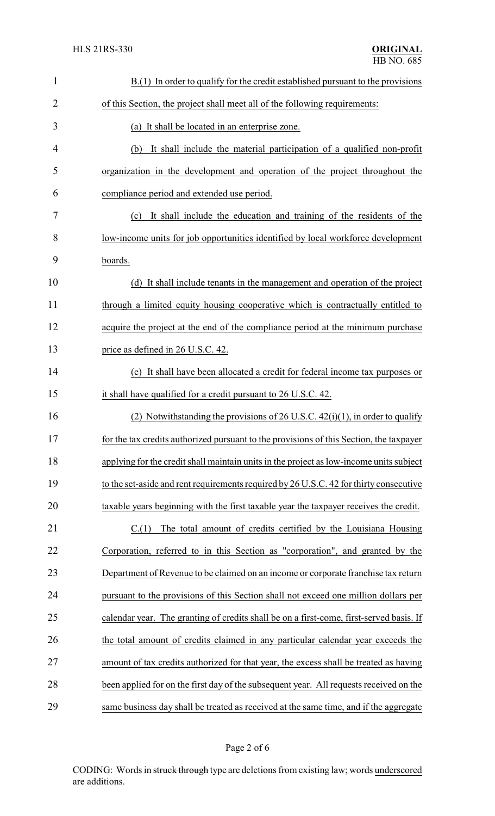| $\mathbf{1}$   | $B(1)$ In order to qualify for the credit established pursuant to the provisions        |  |  |
|----------------|-----------------------------------------------------------------------------------------|--|--|
| $\overline{2}$ | of this Section, the project shall meet all of the following requirements:              |  |  |
| 3              | (a) It shall be located in an enterprise zone.                                          |  |  |
| $\overline{4}$ | It shall include the material participation of a qualified non-profit<br>(b)            |  |  |
| 5              | organization in the development and operation of the project throughout the             |  |  |
| 6              | compliance period and extended use period.                                              |  |  |
| 7              | It shall include the education and training of the residents of the<br>(c)              |  |  |
| 8              | low-income units for job opportunities identified by local workforce development        |  |  |
| 9              | boards.                                                                                 |  |  |
| 10             | (d) It shall include tenants in the management and operation of the project             |  |  |
| 11             | through a limited equity housing cooperative which is contractually entitled to         |  |  |
| 12             | acquire the project at the end of the compliance period at the minimum purchase         |  |  |
| 13             | price as defined in 26 U.S.C. 42.                                                       |  |  |
| 14             | (e) It shall have been allocated a credit for federal income tax purposes or            |  |  |
| 15             | it shall have qualified for a credit pursuant to 26 U.S.C. 42.                          |  |  |
| 16             | Notwithstanding the provisions of 26 U.S.C. $42(i)(1)$ , in order to qualify<br>(2)     |  |  |
| 17             | for the tax credits authorized pursuant to the provisions of this Section, the taxpayer |  |  |
| 18             | applying for the credit shall maintain units in the project as low-income units subject |  |  |
| 19             | to the set-aside and rent requirements required by 26 U.S.C. 42 for thirty consecutive  |  |  |
| 20             | taxable years beginning with the first taxable year the taxpayer receives the credit.   |  |  |
| 21             | C(1)<br>The total amount of credits certified by the Louisiana Housing                  |  |  |
| 22             | Corporation, referred to in this Section as "corporation", and granted by the           |  |  |
| 23             | Department of Revenue to be claimed on an income or corporate franchise tax return      |  |  |
| 24             | pursuant to the provisions of this Section shall not exceed one million dollars per     |  |  |
| 25             | calendar year. The granting of credits shall be on a first-come, first-served basis. If |  |  |
| 26             | the total amount of credits claimed in any particular calendar year exceeds the         |  |  |
| 27             | amount of tax credits authorized for that year, the excess shall be treated as having   |  |  |
| 28             | been applied for on the first day of the subsequent year. All requests received on the  |  |  |
| 29             | same business day shall be treated as received at the same time, and if the aggregate   |  |  |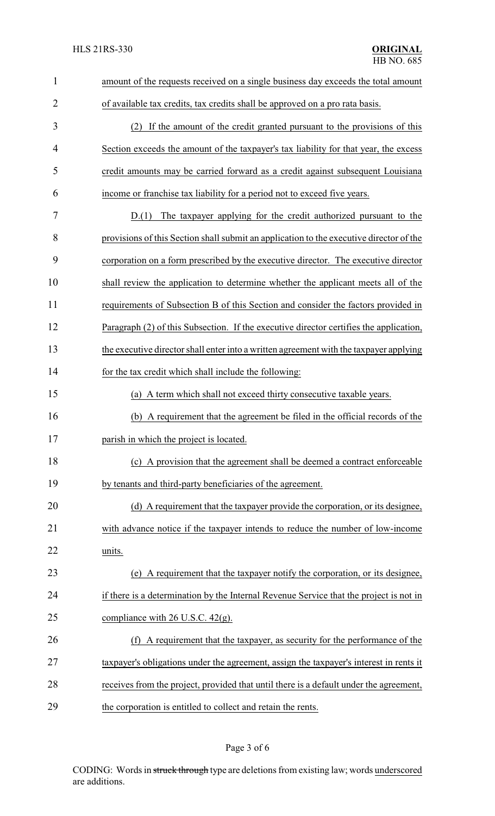| $\mathbf{1}$ | amount of the requests received on a single business day exceeds the total amount       |  |  |  |
|--------------|-----------------------------------------------------------------------------------------|--|--|--|
| 2            | of available tax credits, tax credits shall be approved on a pro rata basis.            |  |  |  |
| 3            | (2) If the amount of the credit granted pursuant to the provisions of this              |  |  |  |
| 4            | Section exceeds the amount of the taxpayer's tax liability for that year, the excess    |  |  |  |
| 5            | credit amounts may be carried forward as a credit against subsequent Louisiana          |  |  |  |
| 6            | income or franchise tax liability for a period not to exceed five years.                |  |  |  |
| 7            | The taxpayer applying for the credit authorized pursuant to the<br>D(1)                 |  |  |  |
| 8            | provisions of this Section shall submit an application to the executive director of the |  |  |  |
| 9            | corporation on a form prescribed by the executive director. The executive director      |  |  |  |
| 10           | shall review the application to determine whether the applicant meets all of the        |  |  |  |
| 11           | requirements of Subsection B of this Section and consider the factors provided in       |  |  |  |
| 12           | Paragraph (2) of this Subsection. If the executive director certifies the application,  |  |  |  |
| 13           | the executive director shall enter into a written agreement with the taxpayer applying  |  |  |  |
| 14           | for the tax credit which shall include the following:                                   |  |  |  |
| 15           | (a) A term which shall not exceed thirty consecutive taxable years.                     |  |  |  |
| 16           | A requirement that the agreement be filed in the official records of the<br>(b)         |  |  |  |
| 17           | parish in which the project is located.                                                 |  |  |  |
| 18           | (c) A provision that the agreement shall be deemed a contract enforceable               |  |  |  |
| 19           | by tenants and third-party beneficiaries of the agreement.                              |  |  |  |
| 20           | (d) A requirement that the taxpayer provide the corporation, or its designee,           |  |  |  |
| 21           | with advance notice if the taxpayer intends to reduce the number of low-income          |  |  |  |
| 22           | units.                                                                                  |  |  |  |
| 23           | (e) A requirement that the taxpayer notify the corporation, or its designee,            |  |  |  |
| 24           | if there is a determination by the Internal Revenue Service that the project is not in  |  |  |  |
| 25           | compliance with $26$ U.S.C. $42(g)$ .                                                   |  |  |  |
| 26           | A requirement that the taxpayer, as security for the performance of the<br>(f)          |  |  |  |
| 27           | taxpayer's obligations under the agreement, assign the taxpayer's interest in rents it  |  |  |  |
| 28           | receives from the project, provided that until there is a default under the agreement,  |  |  |  |
| 29           | the corporation is entitled to collect and retain the rents.                            |  |  |  |

# Page 3 of 6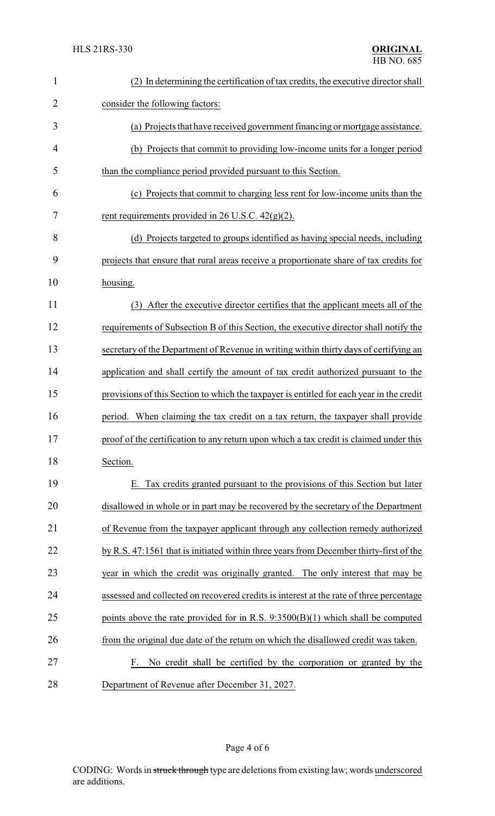| $\mathbf{1}$   | (2) In determining the certification of tax credits, the executive director shall        |
|----------------|------------------------------------------------------------------------------------------|
| $\overline{2}$ | consider the following factors:                                                          |
| 3              | (a) Projects that have received government financing or mortgage assistance.             |
| $\overline{4}$ | (b) Projects that commit to providing low-income units for a longer period               |
| 5              | than the compliance period provided pursuant to this Section.                            |
| 6              | (c) Projects that commit to charging less rent for low-income units than the             |
| 7              | rent requirements provided in 26 U.S.C. $42(g)(2)$ .                                     |
| 8              | (d) Projects targeted to groups identified as having special needs, including            |
| 9              | projects that ensure that rural areas receive a proportionate share of tax credits for   |
| 10             | housing.                                                                                 |
| 11             | (3) After the executive director certifies that the applicant meets all of the           |
| 12             | requirements of Subsection B of this Section, the executive director shall notify the    |
| 13             | secretary of the Department of Revenue in writing within thirty days of certifying an    |
| 14             | application and shall certify the amount of tax credit authorized pursuant to the        |
| 15             | provisions of this Section to which the taxpayer is entitled for each year in the credit |
| 16             | period. When claiming the tax credit on a tax return, the taxpayer shall provide         |
| 17             | proof of the certification to any return upon which a tax credit is claimed under this   |
| 18             | Section.                                                                                 |
| 19             | E. Tax credits granted pursuant to the provisions of this Section but later              |
| 20             | disallowed in whole or in part may be recovered by the secretary of the Department       |
| 21             | of Revenue from the taxpayer applicant through any collection remedy authorized          |
| 22             | by R.S. 47:1561 that is initiated within three years from December thirty-first of the   |
| 23             | year in which the credit was originally granted. The only interest that may be           |
| 24             | assessed and collected on recovered credits is interest at the rate of three percentage  |
| 25             | points above the rate provided for in R.S. $9:3500(B)(1)$ which shall be computed        |
| 26             | from the original due date of the return on which the disallowed credit was taken.       |
| 27             | No credit shall be certified by the corporation or granted by the<br>F.                  |
| 28             | Department of Revenue after December 31, 2027.                                           |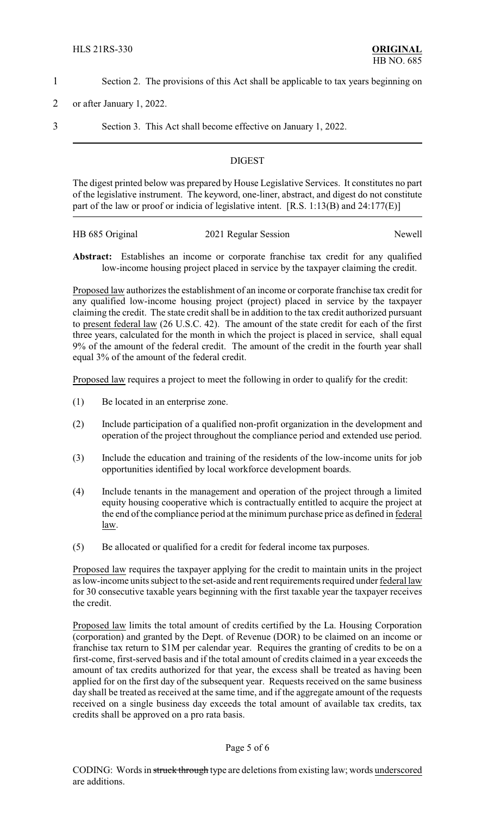- 1 Section 2. The provisions of this Act shall be applicable to tax years beginning on
- 2 or after January 1, 2022.
- 

3 Section 3. This Act shall become effective on January 1, 2022.

### **DIGEST**

The digest printed below was prepared by House Legislative Services. It constitutes no part of the legislative instrument. The keyword, one-liner, abstract, and digest do not constitute part of the law or proof or indicia of legislative intent. [R.S. 1:13(B) and 24:177(E)]

| HB 685 Original | 2021 Regular Session | Newell |
|-----------------|----------------------|--------|
|                 |                      |        |

**Abstract:** Establishes an income or corporate franchise tax credit for any qualified low-income housing project placed in service by the taxpayer claiming the credit.

Proposed law authorizes the establishment of an income or corporate franchise tax credit for any qualified low-income housing project (project) placed in service by the taxpayer claiming the credit. The state credit shall be in addition to the tax credit authorized pursuant to present federal law (26 U.S.C. 42). The amount of the state credit for each of the first three years, calculated for the month in which the project is placed in service, shall equal 9% of the amount of the federal credit. The amount of the credit in the fourth year shall equal 3% of the amount of the federal credit.

Proposed law requires a project to meet the following in order to qualify for the credit:

- (1) Be located in an enterprise zone.
- (2) Include participation of a qualified non-profit organization in the development and operation of the project throughout the compliance period and extended use period.
- (3) Include the education and training of the residents of the low-income units for job opportunities identified by local workforce development boards.
- (4) Include tenants in the management and operation of the project through a limited equity housing cooperative which is contractually entitled to acquire the project at the end of the compliance period at the minimum purchase price as defined in federal law.
- (5) Be allocated or qualified for a credit for federal income tax purposes.

Proposed law requires the taxpayer applying for the credit to maintain units in the project as low-income units subject to the set-aside and rent requirements required under federal law for 30 consecutive taxable years beginning with the first taxable year the taxpayer receives the credit.

Proposed law limits the total amount of credits certified by the La. Housing Corporation (corporation) and granted by the Dept. of Revenue (DOR) to be claimed on an income or franchise tax return to \$1M per calendar year. Requires the granting of credits to be on a first-come, first-served basis and if the total amount of credits claimed in a year exceeds the amount of tax credits authorized for that year, the excess shall be treated as having been applied for on the first day of the subsequent year. Requests received on the same business day shall be treated as received at the same time, and if the aggregate amount of the requests received on a single business day exceeds the total amount of available tax credits, tax credits shall be approved on a pro rata basis.

### Page 5 of 6